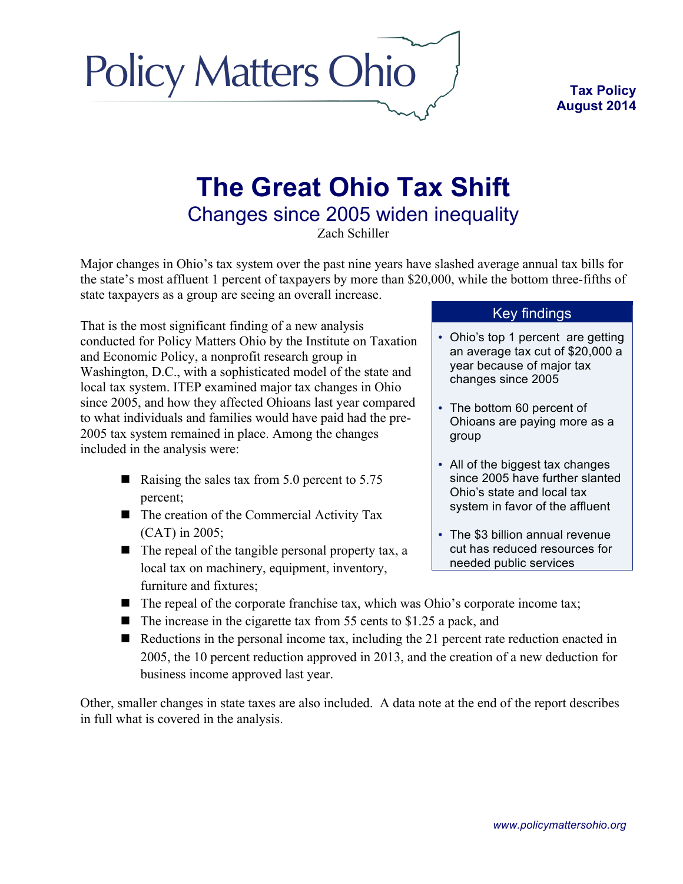

## **The Great Ohio Tax Shift**  Changes since 2005 widen inequality

Zach Schiller

Major changes in Ohio's tax system over the past nine years have slashed average annual tax bills for the state's most affluent 1 percent of taxpayers by more than \$20,000, while the bottom three-fifths of state taxpayers as a group are seeing an overall increase.

That is the most significant finding of a new analysis conducted for Policy Matters Ohio by the Institute on Taxation and Economic Policy, a nonprofit research group in Washington, D.C., with a sophisticated model of the state and local tax system. ITEP examined major tax changes in Ohio since 2005, and how they affected Ohioans last year compared to what individuals and families would have paid had the pre-2005 tax system remained in place. Among the changes included in the analysis were:

**Policy Matters Ohio** 

- Raising the sales tax from  $5.0$  percent to  $5.75$ percent;
- $\blacksquare$  The creation of the Commercial Activity Tax (CAT) in 2005;
- $\blacksquare$  The repeal of the tangible personal property tax, a local tax on machinery, equipment, inventory, furniture and fixtures;

## Key findings

- Ohio's top 1 percent are getting an average tax cut of \$20,000 a year because of major tax changes since 2005
- The bottom 60 percent of Ohioans are paying more as a group
- All of the biggest tax changes since 2005 have further slanted Ohio's state and local tax system in favor of the affluent
- The \$3 billion annual revenue cut has reduced resources for needed public services
- $\blacksquare$  The repeal of the corporate franchise tax, which was Ohio's corporate income tax;
- $\blacksquare$  The increase in the cigarette tax from 55 cents to \$1.25 a pack, and
- $\blacksquare$  Reductions in the personal income tax, including the 21 percent rate reduction enacted in 2005, the 10 percent reduction approved in 2013, and the creation of a new deduction for business income approved last year.

Other, smaller changes in state taxes are also included. A data note at the end of the report describes in full what is covered in the analysis.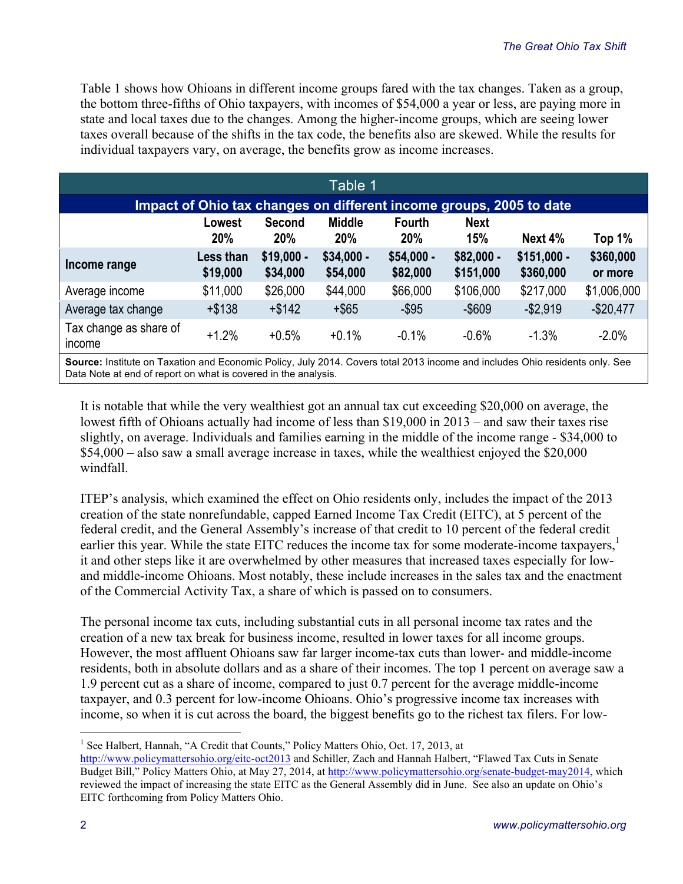Table 1 shows how Ohioans in different income groups fared with the tax changes. Taken as a group, the bottom three-fifths of Ohio taxpayers, with incomes of \$54,000 a year or less, are paying more in state and local taxes due to the changes. Among the higher-income groups, which are seeing lower taxes overall because of the shifts in the tax code, the benefits also are skewed. While the results for individual taxpayers vary, on average, the benefits grow as income increases.

| Table 1                                                                                                                      |                              |                             |                             |                             |                           |                           |                      |  |  |  |  |
|------------------------------------------------------------------------------------------------------------------------------|------------------------------|-----------------------------|-----------------------------|-----------------------------|---------------------------|---------------------------|----------------------|--|--|--|--|
| Impact of Ohio tax changes on different income groups, 2005 to date                                                          |                              |                             |                             |                             |                           |                           |                      |  |  |  |  |
|                                                                                                                              | Lowest<br>20%                | <b>Second</b><br><b>20%</b> | <b>Middle</b><br><b>20%</b> | <b>Fourth</b><br><b>20%</b> | <b>Next</b><br><b>15%</b> | Next 4%                   | Top 1%               |  |  |  |  |
| Income range                                                                                                                 | <b>Less than</b><br>\$19,000 | $$19,000 -$<br>\$34,000     | $$34,000 -$<br>\$54,000     | $$54,000 -$<br>\$82,000     | $$82,000 -$<br>\$151,000  | $$151,000 -$<br>\$360,000 | \$360,000<br>or more |  |  |  |  |
| Average income                                                                                                               | \$11,000                     | \$26,000                    | \$44,000                    | \$66,000                    | \$106,000                 | \$217,000                 | \$1,006,000          |  |  |  |  |
| Average tax change                                                                                                           | $+ $138$                     | $+ $142$                    | $+$ \$65                    | $-$ \$95                    | $-$ \$609                 | $-$ \$2,919               | $-$20,477$           |  |  |  |  |
| Tax change as share of<br>income                                                                                             | $+1.2%$                      | $+0.5%$                     | $+0.1%$                     | $-0.1%$                     | $-0.6%$                   | $-1.3%$                   | $-2.0\%$             |  |  |  |  |
| Source: Institute on Taxation and Economic Policy, July 2014. Covers total 2013 income and includes Ohio residents only. See |                              |                             |                             |                             |                           |                           |                      |  |  |  |  |

Data Note at end of report on what is covered in the analysis.

It is notable that while the very wealthiest got an annual tax cut exceeding \$20,000 on average, the lowest fifth of Ohioans actually had income of less than \$19,000 in 2013 – and saw their taxes rise slightly, on average. Individuals and families earning in the middle of the income range - \$34,000 to \$54,000 – also saw a small average increase in taxes, while the wealthiest enjoyed the \$20,000 windfall.

ITEP's analysis, which examined the effect on Ohio residents only, includes the impact of the 2013 creation of the state nonrefundable, capped Earned Income Tax Credit (EITC), at 5 percent of the federal credit, and the General Assembly's increase of that credit to 10 percent of the federal credit earlier this year. While the state EITC reduces the income tax for some moderate-income taxpayers,<sup>1</sup> it and other steps like it are overwhelmed by other measures that increased taxes especially for lowand middle-income Ohioans. Most notably, these include increases in the sales tax and the enactment of the Commercial Activity Tax, a share of which is passed on to consumers.

The personal income tax cuts, including substantial cuts in all personal income tax rates and the creation of a new tax break for business income, resulted in lower taxes for all income groups. However, the most affluent Ohioans saw far larger income-tax cuts than lower- and middle-income residents, both in absolute dollars and as a share of their incomes. The top 1 percent on average saw a 1.9 percent cut as a share of income, compared to just 0.7 percent for the average middle-income taxpayer, and 0.3 percent for low-income Ohioans. Ohio's progressive income tax increases with income, so when it is cut across the board, the biggest benefits go to the richest tax filers. For low-

<sup>&</sup>lt;sup>1</sup> See Halbert, Hannah, "A Credit that Counts," Policy Matters Ohio, Oct. 17, 2013, at

http://www.policymattersohio.org/eitc-oct2013 and Schiller, Zach and Hannah Halbert, "Flawed Tax Cuts in Senate Budget Bill," Policy Matters Ohio, at May 27, 2014, at http://www.policymattersohio.org/senate-budget-may2014, which reviewed the impact of increasing the state EITC as the General Assembly did in June. See also an update on Ohio's EITC forthcoming from Policy Matters Ohio.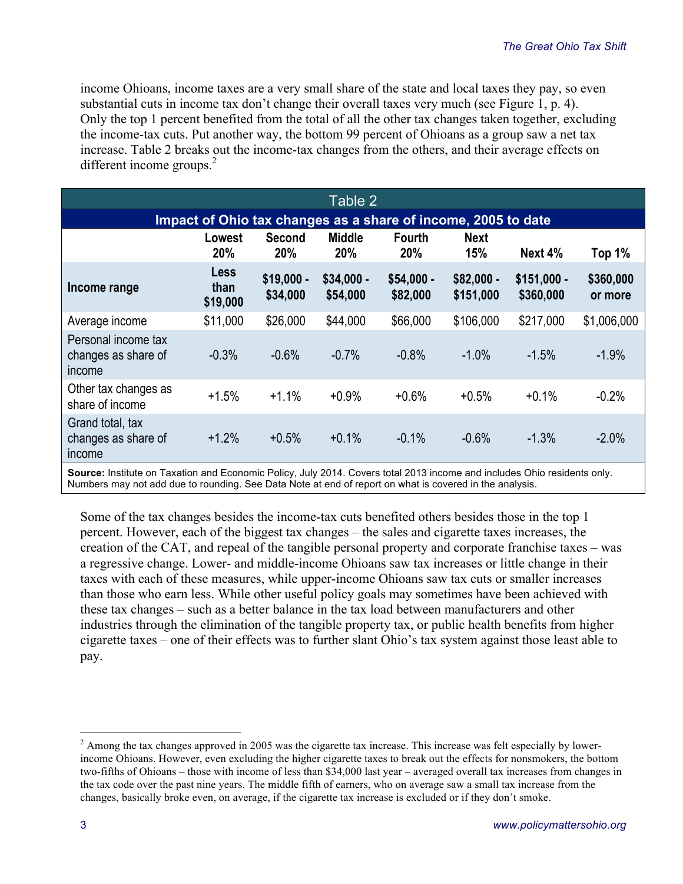income Ohioans, income taxes are a very small share of the state and local taxes they pay, so even substantial cuts in income tax don't change their overall taxes very much (see Figure 1, p. 4). Only the top 1 percent benefited from the total of all the other tax changes taken together, excluding the income-tax cuts. Put another way, the bottom 99 percent of Ohioans as a group saw a net tax increase. Table 2 breaks out the income-tax changes from the others, and their average effects on different income groups. $^{2}$ 

| Table 2                                                                                                                 |                                 |                         |                         |                         |                          |                           |                      |  |  |  |  |
|-------------------------------------------------------------------------------------------------------------------------|---------------------------------|-------------------------|-------------------------|-------------------------|--------------------------|---------------------------|----------------------|--|--|--|--|
| Impact of Ohio tax changes as a share of income, 2005 to date                                                           |                                 |                         |                         |                         |                          |                           |                      |  |  |  |  |
|                                                                                                                         | Lowest<br>20%                   | Second<br>20%           | <b>Middle</b><br>20%    | <b>Fourth</b><br>20%    | <b>Next</b><br>15%       | Next 4%                   | Top 1%               |  |  |  |  |
| Income range                                                                                                            | <b>Less</b><br>than<br>\$19,000 | $$19,000 -$<br>\$34,000 | $$34,000 -$<br>\$54,000 | $$54,000 -$<br>\$82,000 | $$82,000 -$<br>\$151,000 | $$151,000 -$<br>\$360,000 | \$360,000<br>or more |  |  |  |  |
| Average income                                                                                                          | \$11,000                        | \$26,000                | \$44,000                | \$66,000                | \$106,000                | \$217,000                 | \$1,006,000          |  |  |  |  |
| Personal income tax<br>changes as share of<br>income                                                                    | $-0.3%$                         | $-0.6%$                 | $-0.7%$                 | $-0.8%$                 | $-1.0%$                  | $-1.5%$                   | $-1.9%$              |  |  |  |  |
| Other tax changes as<br>share of income                                                                                 | $+1.5%$                         | $+1.1%$                 | $+0.9%$                 | $+0.6%$                 | $+0.5%$                  | $+0.1%$                   | $-0.2%$              |  |  |  |  |
| Grand total, tax<br>changes as share of<br>income                                                                       | $+1.2%$                         | $+0.5%$                 | $+0.1%$                 | $-0.1%$                 | $-0.6%$                  | $-1.3%$                   | $-2.0%$              |  |  |  |  |
| Correct Institute on Terretian and Feangeria Deliau. July 2044. Corrected 19042 income and includes Ohio secidente antu |                                 |                         |                         |                         |                          |                           |                      |  |  |  |  |

**Source:** Institute on Taxation and Economic Policy, July 2014. Covers total 2013 income and includes Ohio residents only. Numbers may not add due to rounding. See Data Note at end of report on what is covered in the analysis.

Some of the tax changes besides the income-tax cuts benefited others besides those in the top 1 percent. However, each of the biggest tax changes – the sales and cigarette taxes increases, the creation of the CAT, and repeal of the tangible personal property and corporate franchise taxes – was a regressive change. Lower- and middle-income Ohioans saw tax increases or little change in their taxes with each of these measures, while upper-income Ohioans saw tax cuts or smaller increases than those who earn less. While other useful policy goals may sometimes have been achieved with these tax changes – such as a better balance in the tax load between manufacturers and other industries through the elimination of the tangible property tax, or public health benefits from higher cigarette taxes – one of their effects was to further slant Ohio's tax system against those least able to pay.

<sup>&</sup>lt;sup>2</sup> Among the tax changes approved in 2005 was the cigarette tax increase. This increase was felt especially by lowerincome Ohioans. However, even excluding the higher cigarette taxes to break out the effects for nonsmokers, the bottom two-fifths of Ohioans – those with income of less than \$34,000 last year – averaged overall tax increases from changes in the tax code over the past nine years. The middle fifth of earners, who on average saw a small tax increase from the changes, basically broke even, on average, if the cigarette tax increase is excluded or if they don't smoke.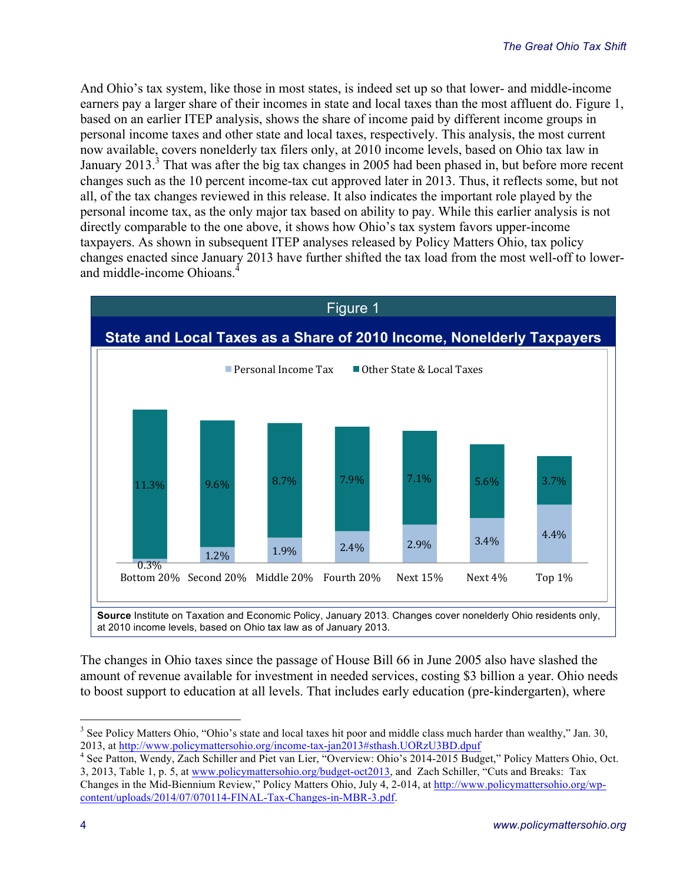And Ohio's tax system, like those in most states, is indeed set up so that lower- and middle-income earners pay a larger share of their incomes in state and local taxes than the most affluent do. Figure 1, based on an earlier ITEP analysis, shows the share of income paid by different income groups in personal income taxes and other state and local taxes, respectively. This analysis, the most current now available, covers nonelderly tax filers only, at 2010 income levels, based on Ohio tax law in January 2013.<sup>3</sup> That was after the big tax changes in 2005 had been phased in, but before more recent changes such as the 10 percent income-tax cut approved later in 2013. Thus, it reflects some, but not all, of the tax changes reviewed in this release. It also indicates the important role played by the personal income tax, as the only major tax based on ability to pay. While this earlier analysis is not directly comparable to the one above, it shows how Ohio's tax system favors upper-income taxpayers. As shown in subsequent ITEP analyses released by Policy Matters Ohio, tax policy changes enacted since January 2013 have further shifted the tax load from the most well-off to lowerand middle-income Ohioans.<sup>4</sup>



The changes in Ohio taxes since the passage of House Bill 66 in June 2005 also have slashed the amount of revenue available for investment in needed services, costing \$3 billion a year. Ohio needs to boost support to education at all levels. That includes early education (pre-kindergarten), where

3, 2013, Table 1, p. 5, at www.policymattersohio.org/budget-oct2013, and Zach Schiller, "Cuts and Breaks: Tax

<sup>&</sup>lt;sup>3</sup> See Policy Matters Ohio, "Ohio's state and local taxes hit poor and middle class much harder than wealthy," Jan. 30, 2013, at http://www.policymattersohio.org/income-tax-jan2013#sthash.UORzU3BD.dpuf 4 See Patton, Wendy, Zach Schiller and Piet van Lier, "Overview: Ohio's 2014-2015 Budget," Policy Matters Ohio, Oct.

Changes in the Mid-Biennium Review," Policy Matters Ohio, July 4, 2-014, at http://www.policymattersohio.org/wpcontent/uploads/2014/07/070114-FINAL-Tax-Changes-in-MBR-3.pdf.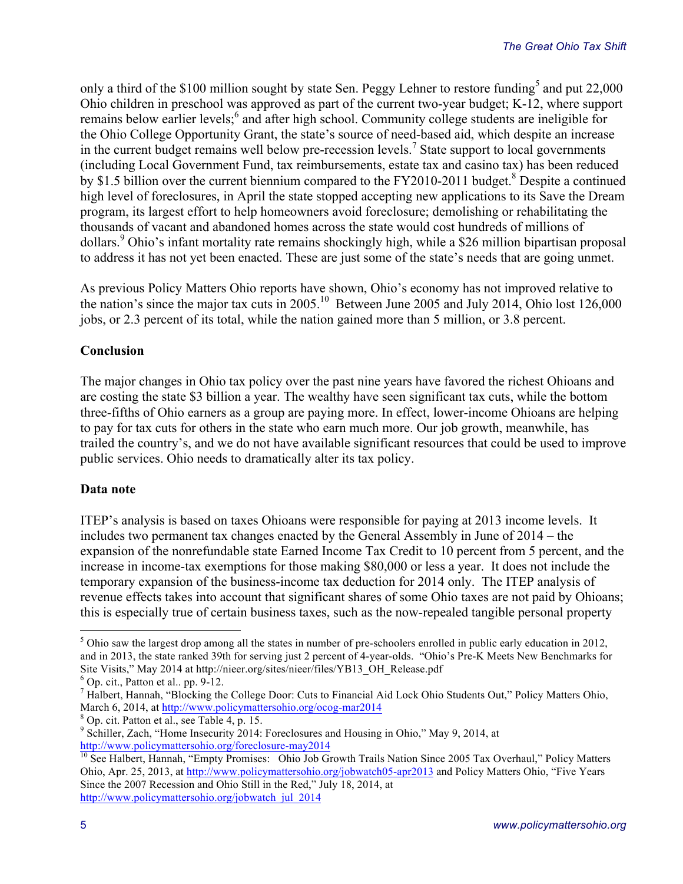only a third of the \$100 million sought by state Sen. Peggy Lehner to restore funding<sup>5</sup> and put 22,000 Ohio children in preschool was approved as part of the current two-year budget; K-12, where support remains below earlier levels;<sup>6</sup> and after high school. Community college students are ineligible for the Ohio College Opportunity Grant, the state's source of need-based aid, which despite an increase in the current budget remains well below pre-recession levels.<sup>7</sup> State support to local governments (including Local Government Fund, tax reimbursements, estate tax and casino tax) has been reduced by \$1.5 billion over the current biennium compared to the FY2010-2011 budget.<sup>8</sup> Despite a continued high level of foreclosures, in April the state stopped accepting new applications to its Save the Dream program, its largest effort to help homeowners avoid foreclosure; demolishing or rehabilitating the thousands of vacant and abandoned homes across the state would cost hundreds of millions of dollars.<sup>9</sup> Ohio's infant mortality rate remains shockingly high, while a \$26 million bipartisan proposal to address it has not yet been enacted. These are just some of the state's needs that are going unmet.

As previous Policy Matters Ohio reports have shown, Ohio's economy has not improved relative to the nation's since the major tax cuts in 2005.10 Between June 2005 and July 2014, Ohio lost 126,000 jobs, or 2.3 percent of its total, while the nation gained more than 5 million, or 3.8 percent.

## **Conclusion**

The major changes in Ohio tax policy over the past nine years have favored the richest Ohioans and are costing the state \$3 billion a year. The wealthy have seen significant tax cuts, while the bottom three-fifths of Ohio earners as a group are paying more. In effect, lower-income Ohioans are helping to pay for tax cuts for others in the state who earn much more. Our job growth, meanwhile, has trailed the country's, and we do not have available significant resources that could be used to improve public services. Ohio needs to dramatically alter its tax policy.

## **Data note**

ITEP's analysis is based on taxes Ohioans were responsible for paying at 2013 income levels. It includes two permanent tax changes enacted by the General Assembly in June of 2014 – the expansion of the nonrefundable state Earned Income Tax Credit to 10 percent from 5 percent, and the increase in income-tax exemptions for those making \$80,000 or less a year. It does not include the temporary expansion of the business-income tax deduction for 2014 only. The ITEP analysis of revenue effects takes into account that significant shares of some Ohio taxes are not paid by Ohioans; this is especially true of certain business taxes, such as the now-repealed tangible personal property

 $<sup>5</sup>$  Ohio saw the largest drop among all the states in number of pre-schoolers enrolled in public early education in 2012,</sup> and in 2013, the state ranked 39th for serving just 2 percent of 4-year-olds. "Ohio's Pre-K Meets New Benchmarks for Site Visits," May 2014 at http://nieer.org/sites/nieer/files/YB13\_OH\_Release.pdf <sup>6</sup> Op. cit., Patton et al.. pp. 9-12.

<sup>&</sup>lt;sup>7</sup> Halbert, Hannah, "Blocking the College Door: Cuts to Financial Aid Lock Ohio Students Out," Policy Matters Ohio, March 6, 2014, at http://www.policymattersohio.org/ocog-mar2014<br>
<sup>8</sup> Op. cit. Patton et al., see Table 4, p. 15.<br>
<sup>9</sup> Schiller, Zach, "Home Insecurity 2014: Foreclosures and Housing in Ohio," May 9, 2014, at

http://www.policymattersohio.org/foreclosure-may2014<br><sup>10</sup> See Halbert, Hannah, "Empty Promises: Ohio Job Growth Trails Nation Since 2005 Tax Overhaul," Policy Matters Ohio, Apr. 25, 2013, at http://www.policymattersohio.org/jobwatch05-apr2013 and Policy Matters Ohio, "Five Years Since the 2007 Recession and Ohio Still in the Red," July 18, 2014, at http://www.policymattersohio.org/jobwatch\_jul\_2014